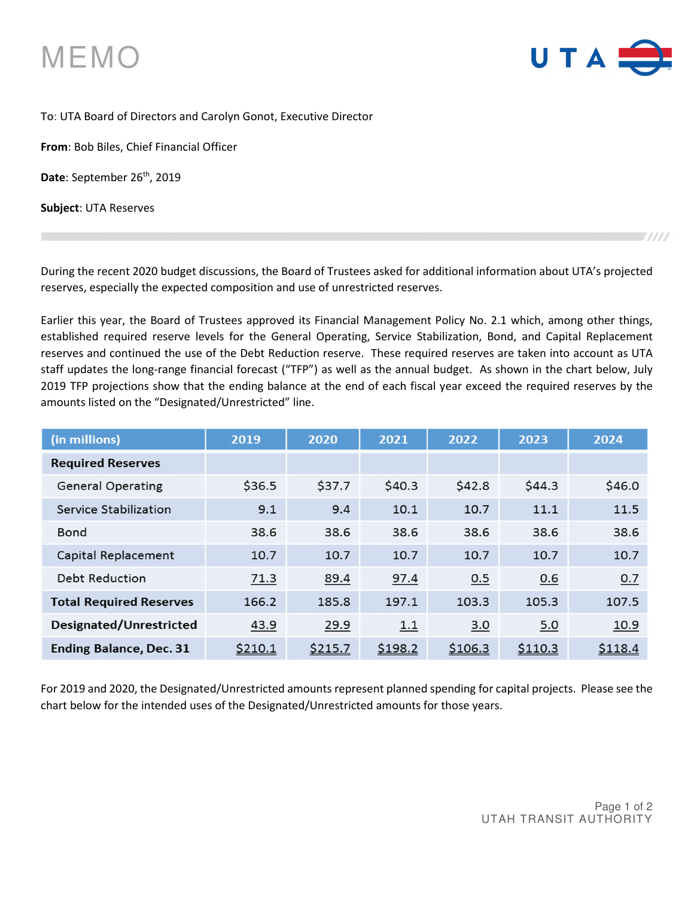



## **To**: UTA Board of Directors and Carolyn Gonot, Executive Director

**From**: Bob Biles, Chief Financial Officer

Date: September 26<sup>th</sup>, 2019

**Subject**: UTA Reserves

During the recent 2020 budget discussions, the Board of Trustees asked for additional information about UTA's projected reserves, especially the expected composition and use of unrestricted reserves.

Earlier this year, the Board of Trustees approved its Financial Management Policy No. 2.1 which, among other things, established required reserve levels for the General Operating, Service Stabilization, Bond, and Capital Replacement reserves and continued the use of the Debt Reduction reserve. These required reserves are taken into account as UTA staff updates the long-range financial forecast ("TFP") as well as the annual budget. As shown in the chart below, July 2019 TFP projections show that the ending balance at the end of each fiscal year exceed the required reserves by the amounts listed on the "Designated/Unrestricted" line.

| (in millions)                  | 2019    | 2020    | 2021    | 2022    | 2023    | 2024    |
|--------------------------------|---------|---------|---------|---------|---------|---------|
| <b>Required Reserves</b>       |         |         |         |         |         |         |
| <b>General Operating</b>       | \$36.5  | \$37.7  | \$40.3  | \$42.8  | \$44.3  | \$46.0  |
| Service Stabilization          | 9.1     | 9.4     | 10.1    | 10.7    | 11.1    | 11.5    |
| <b>Bond</b>                    | 38.6    | 38.6    | 38.6    | 38.6    | 38.6    | 38.6    |
| Capital Replacement            | 10.7    | 10.7    | 10.7    | 10.7    | 10.7    | 10.7    |
| <b>Debt Reduction</b>          | 71.3    | 89.4    | 97.4    | 0.5     | 0.6     | 0.7     |
| <b>Total Required Reserves</b> | 166.2   | 185.8   | 197.1   | 103.3   | 105.3   | 107.5   |
| Designated/Unrestricted        | 43.9    | 29.9    | 1.1     | 3.0     | 5.0     | 10.9    |
| <b>Ending Balance, Dec. 31</b> | \$210.1 | \$215.7 | \$198.2 | \$106.3 | \$110.3 | \$118.4 |

For 2019 and 2020, the Designated/Unrestricted amounts represent planned spending for capital projects. Please see the chart below for the intended uses of the Designated/Unrestricted amounts for those years.